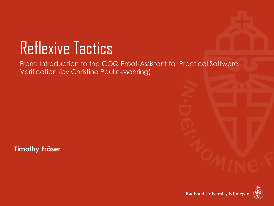# Reflexive Tactics

From: Introduction to the COQ Proof-Assistant for Practical Software Verification (by Christine Paulin-Mohring)

**Timothy Fräser**

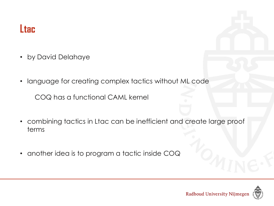#### **Ltac**

- by David Delahaye
- language for creating complex tactics without ML code

COQ has a functional CAML kernel

- combining tactics in Ltac can be inefficient and create large proof terms
- another idea is to program a tactic inside COQ

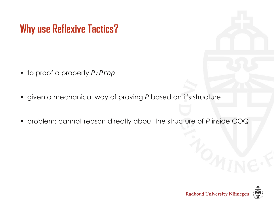## **Why use Reflexive Tactics?**

- to proof a property *P:Prop*
- given a mechanical way of proving *P* based on it's structure
- problem: cannot reason directly about the structure of *P* inside COQ

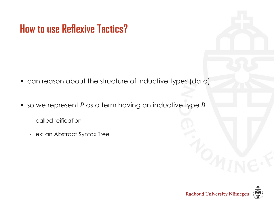## **How to use Reflexive Tactics?**

- can reason about the structure of inductive types (data)
- so we represent *P* as a term having an inductive type *D*
	- called reification
	- ex: an Abstract Syntax Tree

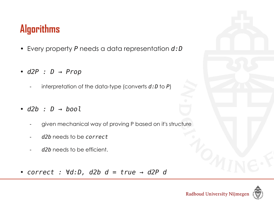# **Algorithms**

- Every property *P* needs a data representation *d:D*
- *d2P : D → Prop*
	- interpretation of the data-type (converts *d:D* to *P*)
- *d2b : D → bool*
	- given mechanical way of proving P based on it's structure
	- d2b needs to be *correct*
	- d2b needs to be efficient.
- *correct : ∀d:D, d2b d = true → d2P d*



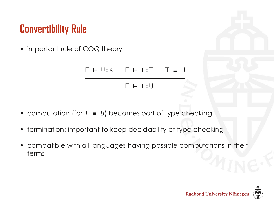## **Convertibility Rule**

• important rule of COQ theory

$$
\begin{array}{c}\n\Gamma + U: s \qquad \Gamma + t: T \qquad T \equiv U \\
\hline\n\Gamma + t: U\n\end{array}
$$

- computation (for *T ≡ U*) becomes part of type checking
- termination: important to keep decidability of type checking
- compatible with all languages having possible computations in their terms

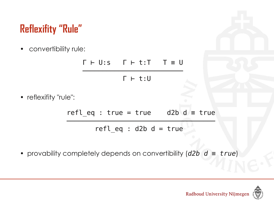# **Reflexifity "Rule"**

• convertibility rule:

$$
\begin{array}{c}\n\Gamma \vdash U : s \qquad \Gamma \vdash t : T \qquad T \equiv U \\
\hline\n\Gamma \vdash t : U\n\end{array}
$$

• reflexifity "rule":

 $refl_eq$  : true = true d2b d = true ─────────────────────────────────────

refl eq :  $d2b$  d = true

• provability completely depends on convertibility (*d2b d ≡ true*)

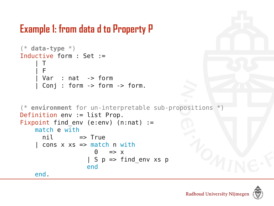#### **Example 1: from data d to Property P**

```
(* data-type *)
Inductive form : Set :=
\blacksquare | F
 | Var : nat -> form
 | Conj : form -> form -> form.
(* environment for un-interpretable sub-propositions *)
Definition env := list Prop.
Fixpoint find env (e:env) (n:nat) := match e with
     ni1 => True
    | cons x xs \Rightarrow match n with
\theta \implies x| S p => find env xs p
                  end
    end.
```
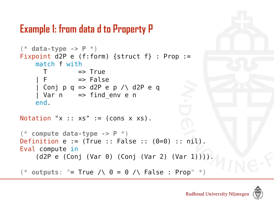#### **Example 1: from data d to Property P**

```
(* data-type -> P *)
Fixpoint d2P e (f:form) {struct f} : Prop :=
     match f with
      T => True
    | F \t= False
     | Conj p q => d2P e p /\ d2P e q
    | Var n \Rightarrow find env e n
     end.
Notation "x :: xs" := (cons x xs).
(* compute data-type -> P *)
Definition e := (True :: False :: (0=0) :: nil).
Eval compute in
     (d2P e (Conj (Var 0) (Conj (Var 2) (Var 1)))).
(* outputs: " = True / \big\backslash 0 = 0 / \big\backslash 0 = 0 \left\{ \right\} False : Prop" *)
```
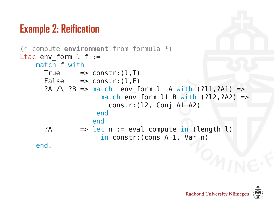# **Example 2: Reification**

```
(* compute environment from formula *)
Ltac env form l f := match f with
      True \Rightarrow constr: (l, T)False => constr:(l,F)?A / \langle ?B \rangle => match env form l A with (?l1,?A1) =>
                     match env form l1 B with (?l2,?A2) =>
                         constr:(l2, Conj A1 A2)
                     end
                    end
    | ?A \Rightarrow let n := eval compute in (length l)
                       in constr:(cons A 1, Var n)
     end.
```